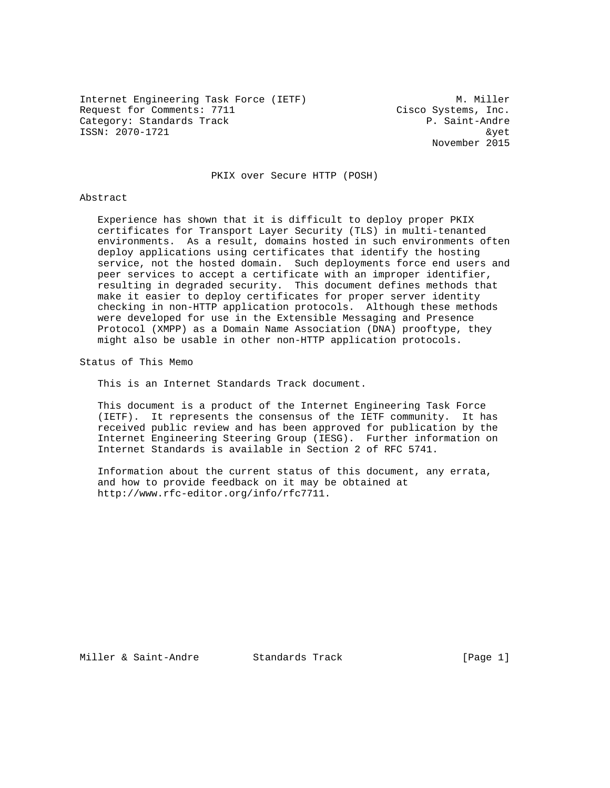Internet Engineering Task Force (IETF) M. Miller Request for Comments: 7711 Cisco Systems, Inc. Category: Standards Track entry and the same proposed of the Saint-Andre ISSN: 2070-1721 &yet

November 2015

PKIX over Secure HTTP (POSH)

#### Abstract

 Experience has shown that it is difficult to deploy proper PKIX certificates for Transport Layer Security (TLS) in multi-tenanted environments. As a result, domains hosted in such environments often deploy applications using certificates that identify the hosting service, not the hosted domain. Such deployments force end users and peer services to accept a certificate with an improper identifier, resulting in degraded security. This document defines methods that make it easier to deploy certificates for proper server identity checking in non-HTTP application protocols. Although these methods were developed for use in the Extensible Messaging and Presence Protocol (XMPP) as a Domain Name Association (DNA) prooftype, they might also be usable in other non-HTTP application protocols.

Status of This Memo

This is an Internet Standards Track document.

 This document is a product of the Internet Engineering Task Force (IETF). It represents the consensus of the IETF community. It has received public review and has been approved for publication by the Internet Engineering Steering Group (IESG). Further information on Internet Standards is available in Section 2 of RFC 5741.

 Information about the current status of this document, any errata, and how to provide feedback on it may be obtained at http://www.rfc-editor.org/info/rfc7711.

Miller & Saint-Andre Standards Track [Page 1]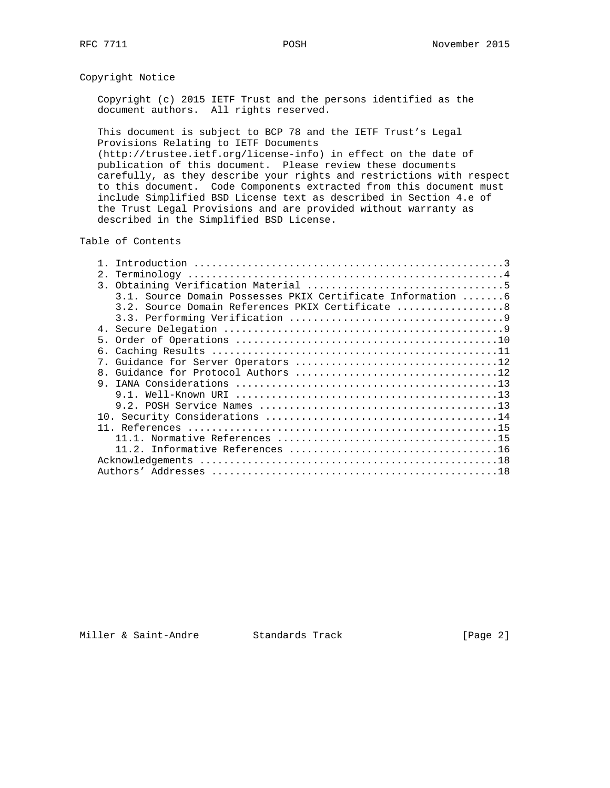Copyright Notice

 Copyright (c) 2015 IETF Trust and the persons identified as the document authors. All rights reserved.

 This document is subject to BCP 78 and the IETF Trust's Legal Provisions Relating to IETF Documents (http://trustee.ietf.org/license-info) in effect on the date of publication of this document. Please review these documents carefully, as they describe your rights and restrictions with respect

 to this document. Code Components extracted from this document must include Simplified BSD License text as described in Section 4.e of the Trust Legal Provisions and are provided without warranty as described in the Simplified BSD License.

Table of Contents

| 2.                                                          |
|-------------------------------------------------------------|
|                                                             |
| 3.1. Source Domain Possesses PKIX Certificate Information 6 |
| 3.2. Source Domain References PKIX Certificate 8            |
|                                                             |
|                                                             |
|                                                             |
|                                                             |
| 7 <sup>1</sup>                                              |
| 8 <sub>1</sub>                                              |
|                                                             |
|                                                             |
|                                                             |
|                                                             |
|                                                             |
|                                                             |
|                                                             |
|                                                             |
|                                                             |

Miller & Saint-Andre Standards Track [Page 2]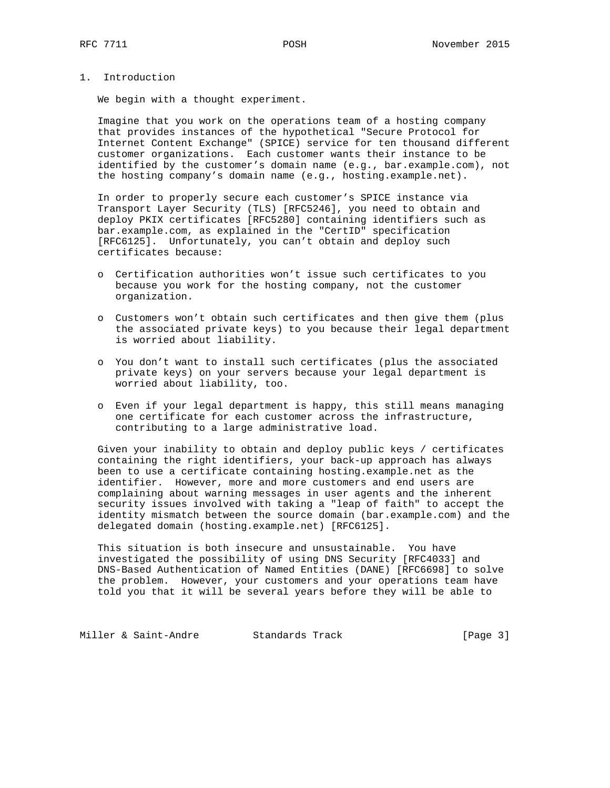1. Introduction

We begin with a thought experiment.

 Imagine that you work on the operations team of a hosting company that provides instances of the hypothetical "Secure Protocol for Internet Content Exchange" (SPICE) service for ten thousand different customer organizations. Each customer wants their instance to be identified by the customer's domain name (e.g., bar.example.com), not the hosting company's domain name (e.g., hosting.example.net).

 In order to properly secure each customer's SPICE instance via Transport Layer Security (TLS) [RFC5246], you need to obtain and deploy PKIX certificates [RFC5280] containing identifiers such as bar.example.com, as explained in the "CertID" specification [RFC6125]. Unfortunately, you can't obtain and deploy such certificates because:

- o Certification authorities won't issue such certificates to you because you work for the hosting company, not the customer organization.
- o Customers won't obtain such certificates and then give them (plus the associated private keys) to you because their legal department is worried about liability.
- o You don't want to install such certificates (plus the associated private keys) on your servers because your legal department is worried about liability, too.
- o Even if your legal department is happy, this still means managing one certificate for each customer across the infrastructure, contributing to a large administrative load.

 Given your inability to obtain and deploy public keys / certificates containing the right identifiers, your back-up approach has always been to use a certificate containing hosting.example.net as the identifier. However, more and more customers and end users are complaining about warning messages in user agents and the inherent security issues involved with taking a "leap of faith" to accept the identity mismatch between the source domain (bar.example.com) and the delegated domain (hosting.example.net) [RFC6125].

 This situation is both insecure and unsustainable. You have investigated the possibility of using DNS Security [RFC4033] and DNS-Based Authentication of Named Entities (DANE) [RFC6698] to solve the problem. However, your customers and your operations team have told you that it will be several years before they will be able to

Miller & Saint-Andre Standards Track [Page 3]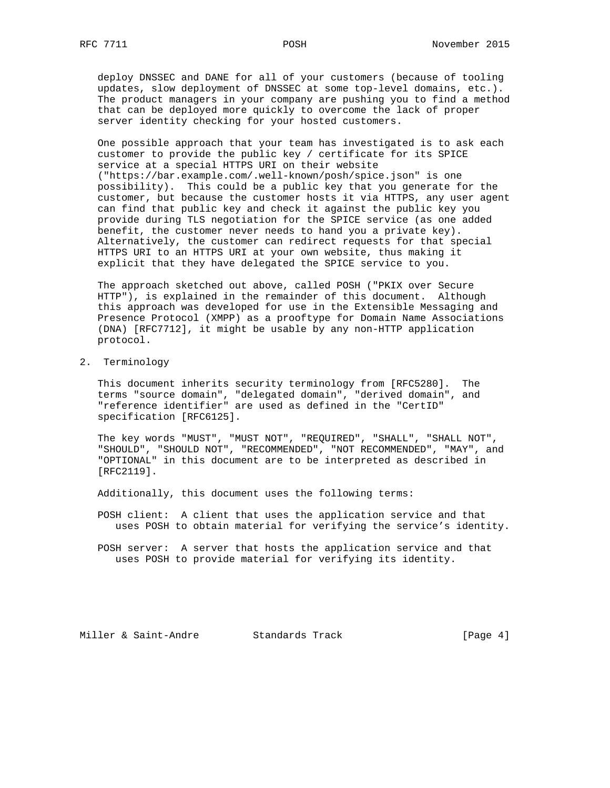deploy DNSSEC and DANE for all of your customers (because of tooling updates, slow deployment of DNSSEC at some top-level domains, etc.). The product managers in your company are pushing you to find a method that can be deployed more quickly to overcome the lack of proper server identity checking for your hosted customers.

 One possible approach that your team has investigated is to ask each customer to provide the public key / certificate for its SPICE service at a special HTTPS URI on their website ("https://bar.example.com/.well-known/posh/spice.json" is one possibility). This could be a public key that you generate for the customer, but because the customer hosts it via HTTPS, any user agent can find that public key and check it against the public key you provide during TLS negotiation for the SPICE service (as one added benefit, the customer never needs to hand you a private key). Alternatively, the customer can redirect requests for that special HTTPS URI to an HTTPS URI at your own website, thus making it explicit that they have delegated the SPICE service to you.

 The approach sketched out above, called POSH ("PKIX over Secure HTTP"), is explained in the remainder of this document. Although this approach was developed for use in the Extensible Messaging and Presence Protocol (XMPP) as a prooftype for Domain Name Associations (DNA) [RFC7712], it might be usable by any non-HTTP application protocol.

2. Terminology

 This document inherits security terminology from [RFC5280]. The terms "source domain", "delegated domain", "derived domain", and "reference identifier" are used as defined in the "CertID" specification [RFC6125].

 The key words "MUST", "MUST NOT", "REQUIRED", "SHALL", "SHALL NOT", "SHOULD", "SHOULD NOT", "RECOMMENDED", "NOT RECOMMENDED", "MAY", and "OPTIONAL" in this document are to be interpreted as described in [RFC2119].

Additionally, this document uses the following terms:

 POSH client: A client that uses the application service and that uses POSH to obtain material for verifying the service's identity.

 POSH server: A server that hosts the application service and that uses POSH to provide material for verifying its identity.

Miller & Saint-Andre Standards Track [Page 4]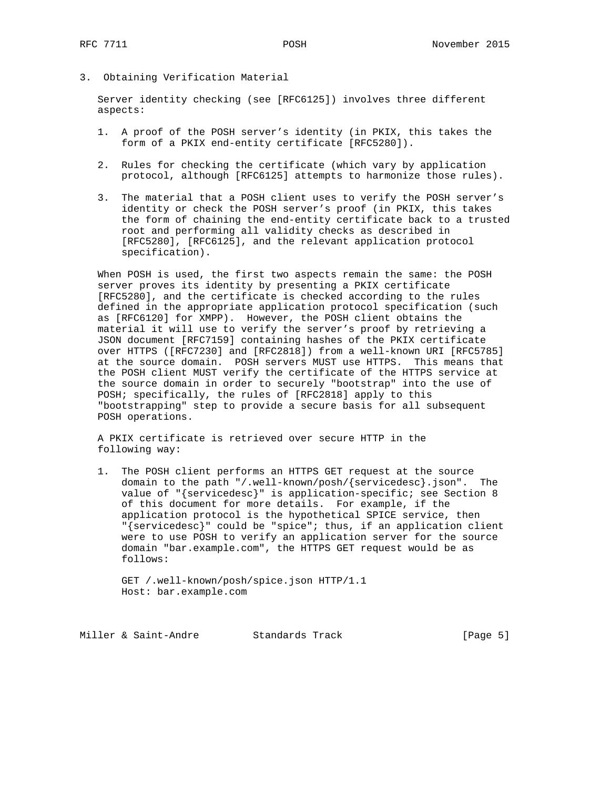3. Obtaining Verification Material

 Server identity checking (see [RFC6125]) involves three different aspects:

- 1. A proof of the POSH server's identity (in PKIX, this takes the form of a PKIX end-entity certificate [RFC5280]).
- 2. Rules for checking the certificate (which vary by application protocol, although [RFC6125] attempts to harmonize those rules).
- 3. The material that a POSH client uses to verify the POSH server's identity or check the POSH server's proof (in PKIX, this takes the form of chaining the end-entity certificate back to a trusted root and performing all validity checks as described in [RFC5280], [RFC6125], and the relevant application protocol specification).

 When POSH is used, the first two aspects remain the same: the POSH server proves its identity by presenting a PKIX certificate [RFC5280], and the certificate is checked according to the rules defined in the appropriate application protocol specification (such as [RFC6120] for XMPP). However, the POSH client obtains the material it will use to verify the server's proof by retrieving a JSON document [RFC7159] containing hashes of the PKIX certificate over HTTPS ([RFC7230] and [RFC2818]) from a well-known URI [RFC5785] at the source domain. POSH servers MUST use HTTPS. This means that the POSH client MUST verify the certificate of the HTTPS service at the source domain in order to securely "bootstrap" into the use of POSH; specifically, the rules of [RFC2818] apply to this "bootstrapping" step to provide a secure basis for all subsequent POSH operations.

 A PKIX certificate is retrieved over secure HTTP in the following way:

 1. The POSH client performs an HTTPS GET request at the source domain to the path "/.well-known/posh/{servicedesc}.json". The value of "{servicedesc}" is application-specific; see Section 8 of this document for more details. For example, if the application protocol is the hypothetical SPICE service, then "{servicedesc}" could be "spice"; thus, if an application client were to use POSH to verify an application server for the source domain "bar.example.com", the HTTPS GET request would be as follows:

 GET /.well-known/posh/spice.json HTTP/1.1 Host: bar.example.com

Miller & Saint-Andre Standards Track [Page 5]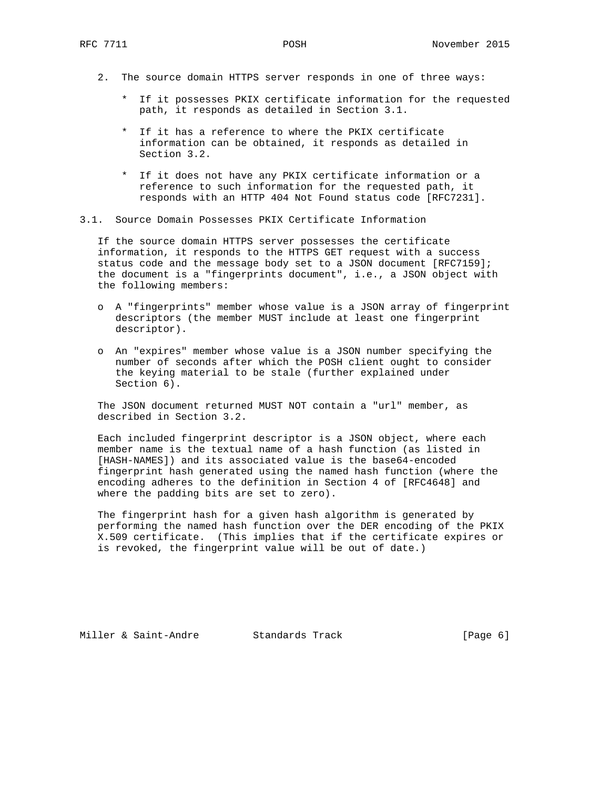- 2. The source domain HTTPS server responds in one of three ways:
	- \* If it possesses PKIX certificate information for the requested path, it responds as detailed in Section 3.1.
	- \* If it has a reference to where the PKIX certificate information can be obtained, it responds as detailed in Section 3.2.
	- \* If it does not have any PKIX certificate information or a reference to such information for the requested path, it responds with an HTTP 404 Not Found status code [RFC7231].
- 3.1. Source Domain Possesses PKIX Certificate Information

 If the source domain HTTPS server possesses the certificate information, it responds to the HTTPS GET request with a success status code and the message body set to a JSON document [RFC7159]; the document is a "fingerprints document", i.e., a JSON object with the following members:

- o A "fingerprints" member whose value is a JSON array of fingerprint descriptors (the member MUST include at least one fingerprint descriptor).
- o An "expires" member whose value is a JSON number specifying the number of seconds after which the POSH client ought to consider the keying material to be stale (further explained under Section 6).

 The JSON document returned MUST NOT contain a "url" member, as described in Section 3.2.

 Each included fingerprint descriptor is a JSON object, where each member name is the textual name of a hash function (as listed in [HASH-NAMES]) and its associated value is the base64-encoded fingerprint hash generated using the named hash function (where the encoding adheres to the definition in Section 4 of [RFC4648] and where the padding bits are set to zero).

 The fingerprint hash for a given hash algorithm is generated by performing the named hash function over the DER encoding of the PKIX X.509 certificate. (This implies that if the certificate expires or is revoked, the fingerprint value will be out of date.)

Miller & Saint-Andre Standards Track [Page 6]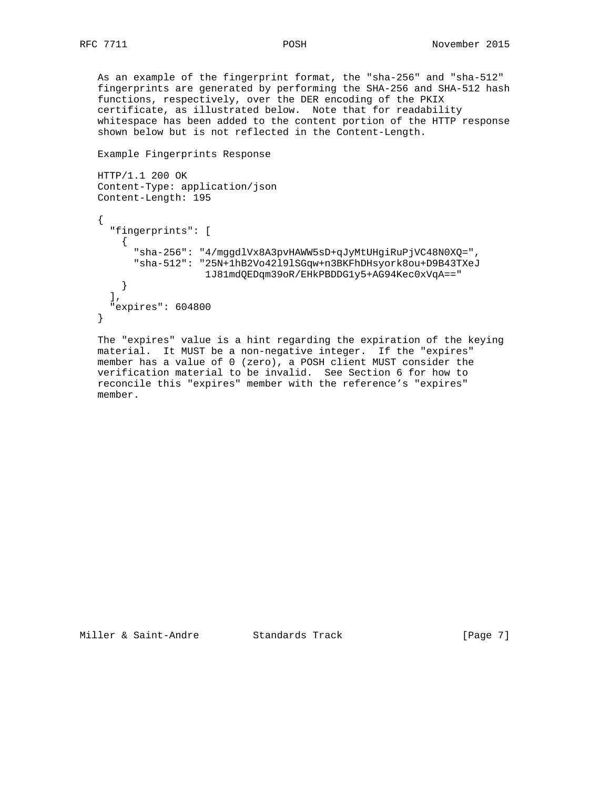As an example of the fingerprint format, the "sha-256" and "sha-512" fingerprints are generated by performing the SHA-256 and SHA-512 hash functions, respectively, over the DER encoding of the PKIX certificate, as illustrated below. Note that for readability whitespace has been added to the content portion of the HTTP response shown below but is not reflected in the Content-Length.

```
 Example Fingerprints Response
```

```
 HTTP/1.1 200 OK
 Content-Type: application/json
 Content-Length: 195
\left\{ \right. "fingerprints": [
    \{ "sha-256": "4/mggdlVx8A3pvHAWW5sD+qJyMtUHgiRuPjVC48N0XQ=",
       "sha-512": "25N+1hB2Vo42l9lSGqw+n3BKFhDHsyork8ou+D9B43TXeJ
                    1J81mdQEDqm39oR/EHkPBDDG1y5+AG94Kec0xVqA=="
    }
  \,, \, "expires": 604800
 }
```
 The "expires" value is a hint regarding the expiration of the keying material. It MUST be a non-negative integer. If the "expires" member has a value of 0 (zero), a POSH client MUST consider the verification material to be invalid. See Section 6 for how to reconcile this "expires" member with the reference's "expires" member.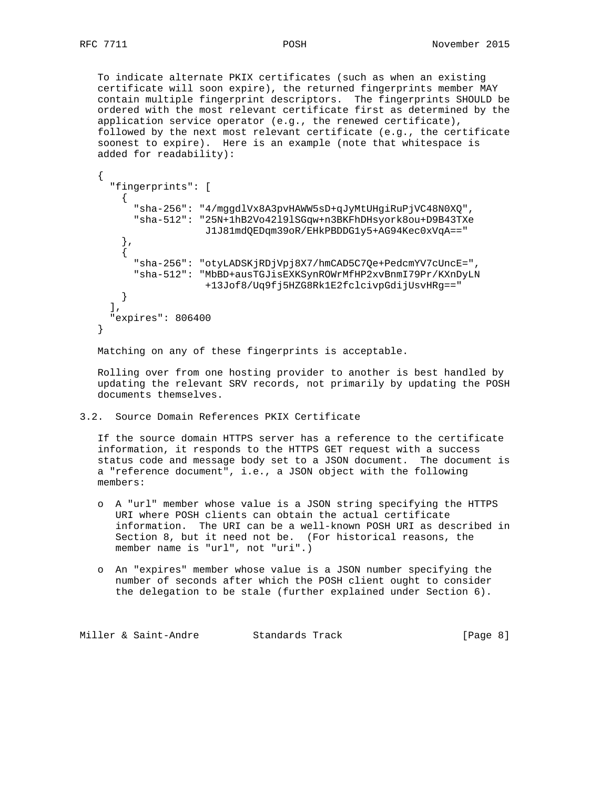To indicate alternate PKIX certificates (such as when an existing certificate will soon expire), the returned fingerprints member MAY contain multiple fingerprint descriptors. The fingerprints SHOULD be ordered with the most relevant certificate first as determined by the application service operator (e.g., the renewed certificate), followed by the next most relevant certificate (e.g., the certificate soonest to expire). Here is an example (note that whitespace is added for readability):

```
 {
      "fingerprints": [
       \left\{ \right. "sha-256": "4/mggdlVx8A3pvHAWW5sD+qJyMtUHgiRuPjVC48N0XQ",
          "sha-512": "25N+1hB2Vo42l9lSGqw+n3BKFhDHsyork8ou+D9B43TXe
                       J1J81mdQEDqm39oR/EHkPBDDG1y5+AG94Kec0xVqA=="
        },
\{ "sha-256": "otyLADSKjRDjVpj8X7/hmCAD5C7Qe+PedcmYV7cUncE=",
          "sha-512": "MbBD+ausTGJisEXKSynROWrMfHP2xvBnmI79Pr/KXnDyLN
                      +13Jof8/Uq9fj5HZG8Rk1E2fclcivpGdijUsvHRg=="
        }
      ],
      "expires": 806400
    }
```
Matching on any of these fingerprints is acceptable.

 Rolling over from one hosting provider to another is best handled by updating the relevant SRV records, not primarily by updating the POSH documents themselves.

3.2. Source Domain References PKIX Certificate

 If the source domain HTTPS server has a reference to the certificate information, it responds to the HTTPS GET request with a success status code and message body set to a JSON document. The document is a "reference document", i.e., a JSON object with the following members:

- o A "url" member whose value is a JSON string specifying the HTTPS URI where POSH clients can obtain the actual certificate information. The URI can be a well-known POSH URI as described in Section 8, but it need not be. (For historical reasons, the member name is "url", not "uri".)
- o An "expires" member whose value is a JSON number specifying the number of seconds after which the POSH client ought to consider the delegation to be stale (further explained under Section 6).

Miller & Saint-Andre Standards Track [Page 8]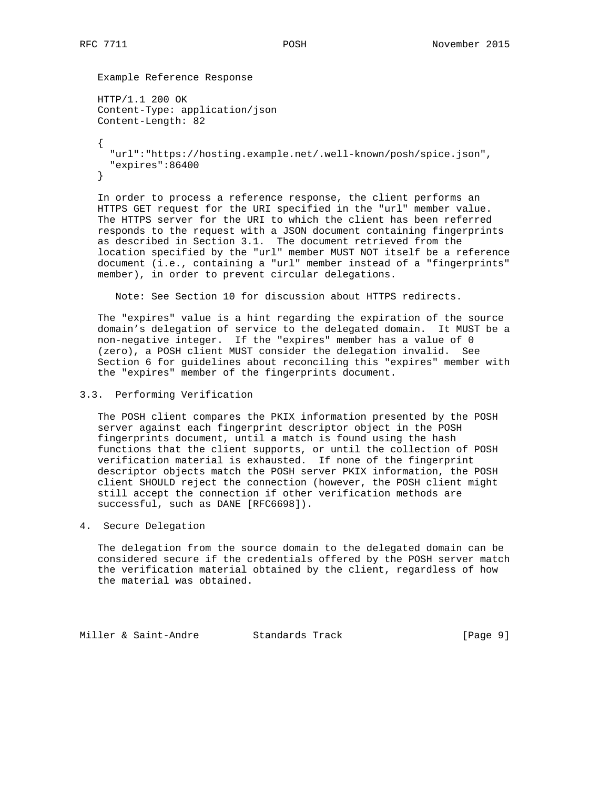Example Reference Response

```
 HTTP/1.1 200 OK
        Content-Type: application/json
        Content-Length: 82
\{ \cdot \cdot \cdot \cdot \cdot \cdot \cdot \cdot \cdot \cdot \cdot \cdot \cdot \cdot \cdot \cdot \cdot \cdot \cdot \cdot \cdot \cdot \cdot \cdot \cdot \cdot \cdot \cdot \cdot \cdot \cdot \cdot \cdot \cdot \cdot \cdot 
             "url":"https://hosting.example.net/.well-known/posh/spice.json",
             "expires":86400
        }
```
 In order to process a reference response, the client performs an HTTPS GET request for the URI specified in the "url" member value. The HTTPS server for the URI to which the client has been referred responds to the request with a JSON document containing fingerprints as described in Section 3.1. The document retrieved from the location specified by the "url" member MUST NOT itself be a reference document (i.e., containing a "url" member instead of a "fingerprints" member), in order to prevent circular delegations.

Note: See Section 10 for discussion about HTTPS redirects.

 The "expires" value is a hint regarding the expiration of the source domain's delegation of service to the delegated domain. It MUST be a non-negative integer. If the "expires" member has a value of 0 (zero), a POSH client MUST consider the delegation invalid. See Section 6 for guidelines about reconciling this "expires" member with the "expires" member of the fingerprints document.

#### 3.3. Performing Verification

 The POSH client compares the PKIX information presented by the POSH server against each fingerprint descriptor object in the POSH fingerprints document, until a match is found using the hash functions that the client supports, or until the collection of POSH verification material is exhausted. If none of the fingerprint descriptor objects match the POSH server PKIX information, the POSH client SHOULD reject the connection (however, the POSH client might still accept the connection if other verification methods are successful, such as DANE [RFC6698]).

4. Secure Delegation

 The delegation from the source domain to the delegated domain can be considered secure if the credentials offered by the POSH server match the verification material obtained by the client, regardless of how the material was obtained.

Miller & Saint-Andre Standards Track [Page 9]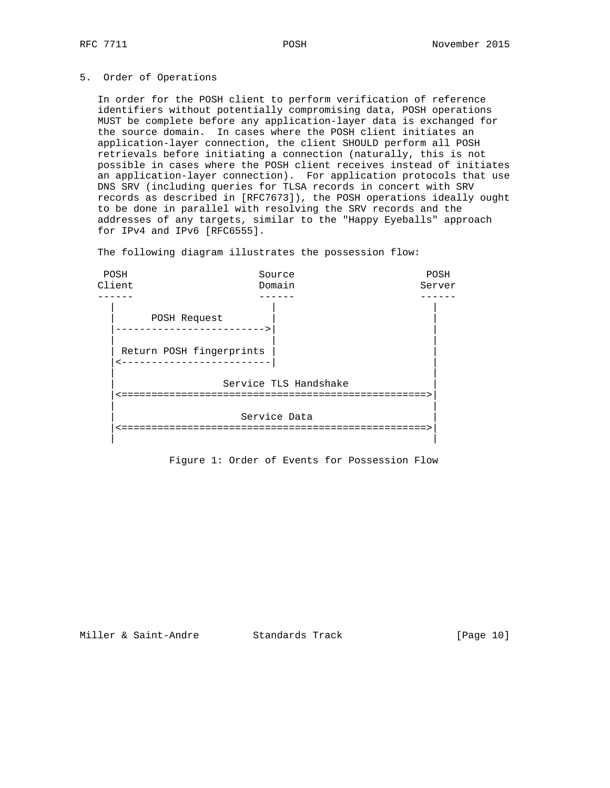## 5. Order of Operations

 In order for the POSH client to perform verification of reference identifiers without potentially compromising data, POSH operations MUST be complete before any application-layer data is exchanged for the source domain. In cases where the POSH client initiates an application-layer connection, the client SHOULD perform all POSH retrievals before initiating a connection (naturally, this is not possible in cases where the POSH client receives instead of initiates an application-layer connection). For application protocols that use DNS SRV (including queries for TLSA records in concert with SRV records as described in [RFC7673]), the POSH operations ideally ought to be done in parallel with resolving the SRV records and the addresses of any targets, similar to the "Happy Eyeballs" approach for IPv4 and IPv6 [RFC6555].

The following diagram illustrates the possession flow:



Figure 1: Order of Events for Possession Flow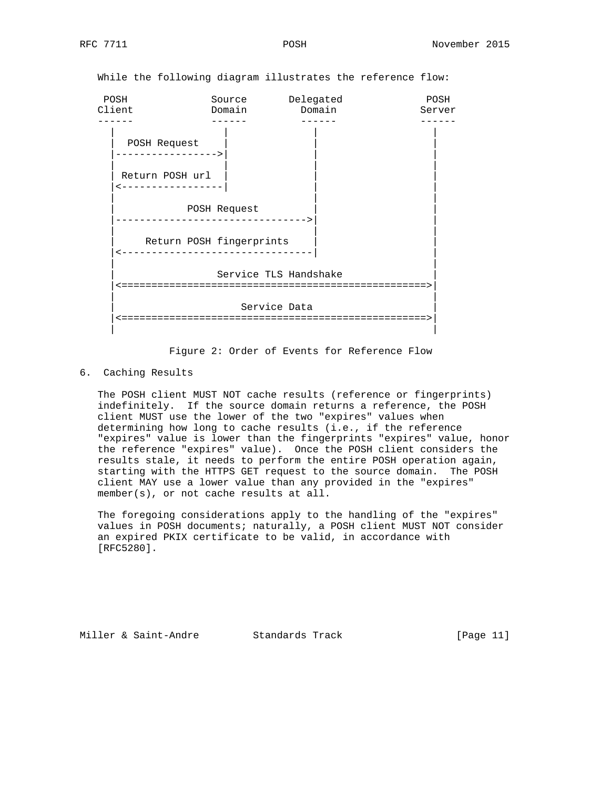POSH Source Delegated POSH Client Domain Domain Server ------ ------ ------ ------ | | | | POSH Request |----------------->| | | | | | | | Return POSH url |<-----------------| | | | | | POSH Request |-------------------------------->| | | | | Return POSH fingerprints |<--------------------------------| | | | Service TLS Handshake |<===================================================>| | | Service Data |<===================================================>| | |

While the following diagram illustrates the reference flow:

Figure 2: Order of Events for Reference Flow

6. Caching Results

 The POSH client MUST NOT cache results (reference or fingerprints) indefinitely. If the source domain returns a reference, the POSH client MUST use the lower of the two "expires" values when determining how long to cache results (i.e., if the reference "expires" value is lower than the fingerprints "expires" value, honor the reference "expires" value). Once the POSH client considers the results stale, it needs to perform the entire POSH operation again, starting with the HTTPS GET request to the source domain. The POSH client MAY use a lower value than any provided in the "expires" member(s), or not cache results at all.

 The foregoing considerations apply to the handling of the "expires" values in POSH documents; naturally, a POSH client MUST NOT consider an expired PKIX certificate to be valid, in accordance with [RFC5280].

Miller & Saint-Andre Standards Track [Page 11]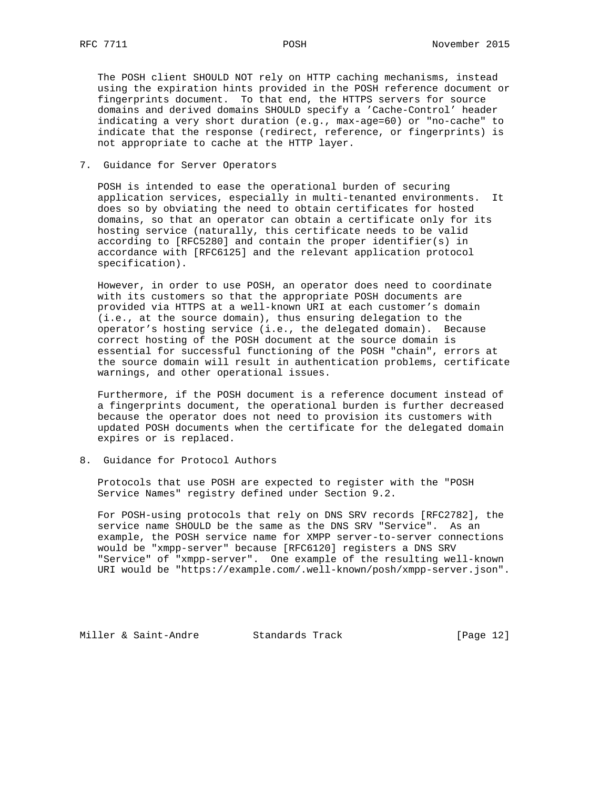The POSH client SHOULD NOT rely on HTTP caching mechanisms, instead using the expiration hints provided in the POSH reference document or fingerprints document. To that end, the HTTPS servers for source domains and derived domains SHOULD specify a 'Cache-Control' header indicating a very short duration (e.g., max-age=60) or "no-cache" to indicate that the response (redirect, reference, or fingerprints) is not appropriate to cache at the HTTP layer.

### 7. Guidance for Server Operators

 POSH is intended to ease the operational burden of securing application services, especially in multi-tenanted environments. It does so by obviating the need to obtain certificates for hosted domains, so that an operator can obtain a certificate only for its hosting service (naturally, this certificate needs to be valid according to [RFC5280] and contain the proper identifier(s) in accordance with [RFC6125] and the relevant application protocol specification).

 However, in order to use POSH, an operator does need to coordinate with its customers so that the appropriate POSH documents are provided via HTTPS at a well-known URI at each customer's domain (i.e., at the source domain), thus ensuring delegation to the operator's hosting service (i.e., the delegated domain). Because correct hosting of the POSH document at the source domain is essential for successful functioning of the POSH "chain", errors at the source domain will result in authentication problems, certificate warnings, and other operational issues.

 Furthermore, if the POSH document is a reference document instead of a fingerprints document, the operational burden is further decreased because the operator does not need to provision its customers with updated POSH documents when the certificate for the delegated domain expires or is replaced.

### 8. Guidance for Protocol Authors

 Protocols that use POSH are expected to register with the "POSH Service Names" registry defined under Section 9.2.

 For POSH-using protocols that rely on DNS SRV records [RFC2782], the service name SHOULD be the same as the DNS SRV "Service". As an example, the POSH service name for XMPP server-to-server connections would be "xmpp-server" because [RFC6120] registers a DNS SRV "Service" of "xmpp-server". One example of the resulting well-known URI would be "https://example.com/.well-known/posh/xmpp-server.json".

Miller & Saint-Andre Standards Track [Page 12]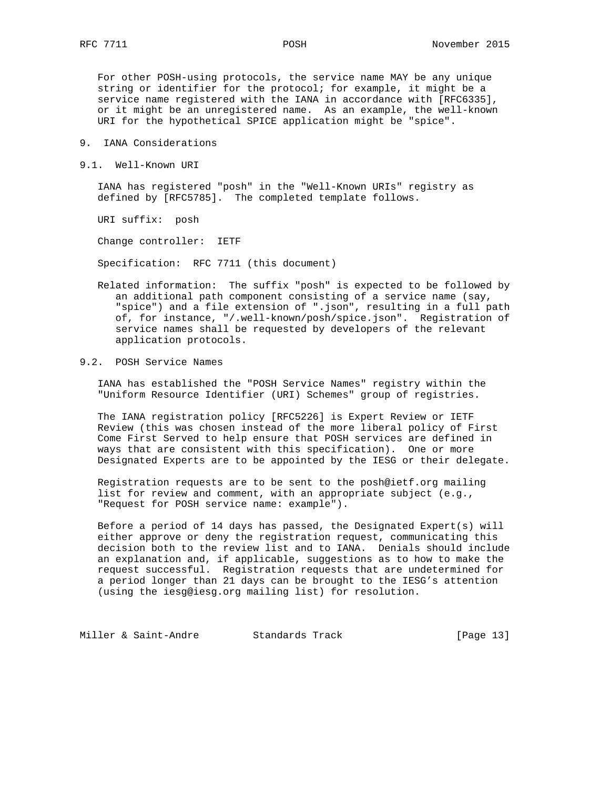For other POSH-using protocols, the service name MAY be any unique string or identifier for the protocol; for example, it might be a service name registered with the IANA in accordance with [RFC6335], or it might be an unregistered name. As an example, the well-known URI for the hypothetical SPICE application might be "spice".

- 9. IANA Considerations
- 9.1. Well-Known URI

 IANA has registered "posh" in the "Well-Known URIs" registry as defined by [RFC5785]. The completed template follows.

URI suffix: posh

Change controller: IETF

Specification: RFC 7711 (this document)

 Related information: The suffix "posh" is expected to be followed by an additional path component consisting of a service name (say, "spice") and a file extension of ".json", resulting in a full path of, for instance, "/.well-known/posh/spice.json". Registration of service names shall be requested by developers of the relevant application protocols.

# 9.2. POSH Service Names

 IANA has established the "POSH Service Names" registry within the "Uniform Resource Identifier (URI) Schemes" group of registries.

 The IANA registration policy [RFC5226] is Expert Review or IETF Review (this was chosen instead of the more liberal policy of First Come First Served to help ensure that POSH services are defined in ways that are consistent with this specification). One or more Designated Experts are to be appointed by the IESG or their delegate.

 Registration requests are to be sent to the posh@ietf.org mailing list for review and comment, with an appropriate subject (e.g., "Request for POSH service name: example").

 Before a period of 14 days has passed, the Designated Expert(s) will either approve or deny the registration request, communicating this decision both to the review list and to IANA. Denials should include an explanation and, if applicable, suggestions as to how to make the request successful. Registration requests that are undetermined for a period longer than 21 days can be brought to the IESG's attention (using the iesg@iesg.org mailing list) for resolution.

Miller & Saint-Andre Standards Track [Page 13]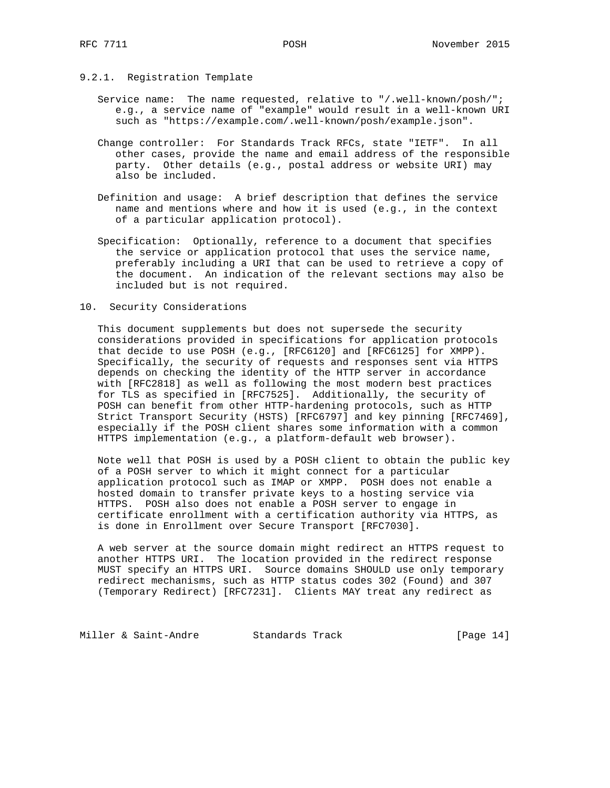- 9.2.1. Registration Template
	- Service name: The name requested, relative to "/.well-known/posh/"; e.g., a service name of "example" would result in a well-known URI such as "https://example.com/.well-known/posh/example.json".
	- Change controller: For Standards Track RFCs, state "IETF". In all other cases, provide the name and email address of the responsible party. Other details (e.g., postal address or website URI) may also be included.
	- Definition and usage: A brief description that defines the service name and mentions where and how it is used (e.g., in the context of a particular application protocol).
	- Specification: Optionally, reference to a document that specifies the service or application protocol that uses the service name, preferably including a URI that can be used to retrieve a copy of the document. An indication of the relevant sections may also be included but is not required.
- 10. Security Considerations

 This document supplements but does not supersede the security considerations provided in specifications for application protocols that decide to use POSH (e.g., [RFC6120] and [RFC6125] for XMPP). Specifically, the security of requests and responses sent via HTTPS depends on checking the identity of the HTTP server in accordance with [RFC2818] as well as following the most modern best practices for TLS as specified in [RFC7525]. Additionally, the security of POSH can benefit from other HTTP-hardening protocols, such as HTTP Strict Transport Security (HSTS) [RFC6797] and key pinning [RFC7469], especially if the POSH client shares some information with a common HTTPS implementation (e.g., a platform-default web browser).

 Note well that POSH is used by a POSH client to obtain the public key of a POSH server to which it might connect for a particular application protocol such as IMAP or XMPP. POSH does not enable a hosted domain to transfer private keys to a hosting service via HTTPS. POSH also does not enable a POSH server to engage in certificate enrollment with a certification authority via HTTPS, as is done in Enrollment over Secure Transport [RFC7030].

 A web server at the source domain might redirect an HTTPS request to another HTTPS URI. The location provided in the redirect response MUST specify an HTTPS URI. Source domains SHOULD use only temporary redirect mechanisms, such as HTTP status codes 302 (Found) and 307 (Temporary Redirect) [RFC7231]. Clients MAY treat any redirect as

Miller & Saint-Andre Standards Track [Page 14]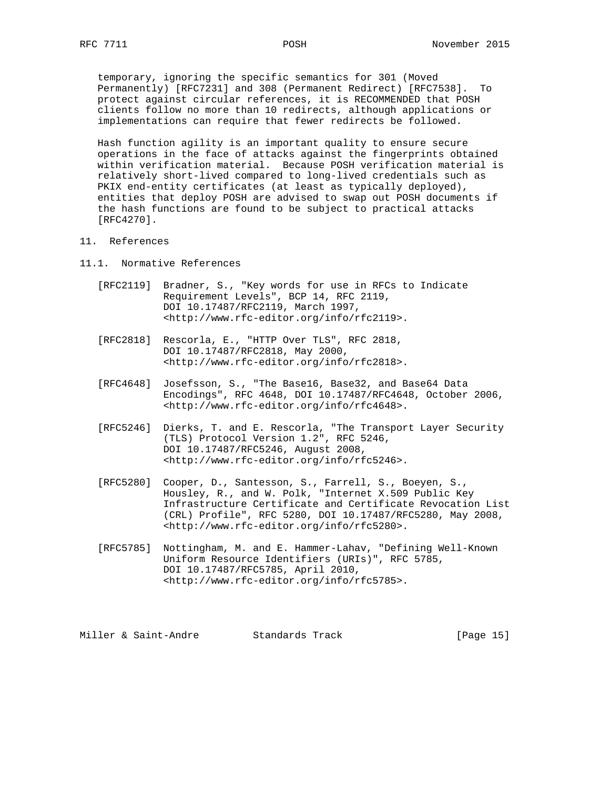temporary, ignoring the specific semantics for 301 (Moved Permanently) [RFC7231] and 308 (Permanent Redirect) [RFC7538]. To protect against circular references, it is RECOMMENDED that POSH clients follow no more than 10 redirects, although applications or implementations can require that fewer redirects be followed.

 Hash function agility is an important quality to ensure secure operations in the face of attacks against the fingerprints obtained within verification material. Because POSH verification material is relatively short-lived compared to long-lived credentials such as PKIX end-entity certificates (at least as typically deployed), entities that deploy POSH are advised to swap out POSH documents if the hash functions are found to be subject to practical attacks [RFC4270].

- 11. References
- 11.1. Normative References
	- [RFC2119] Bradner, S., "Key words for use in RFCs to Indicate Requirement Levels", BCP 14, RFC 2119, DOI 10.17487/RFC2119, March 1997, <http://www.rfc-editor.org/info/rfc2119>.
	- [RFC2818] Rescorla, E., "HTTP Over TLS", RFC 2818, DOI 10.17487/RFC2818, May 2000, <http://www.rfc-editor.org/info/rfc2818>.
	- [RFC4648] Josefsson, S., "The Base16, Base32, and Base64 Data Encodings", RFC 4648, DOI 10.17487/RFC4648, October 2006, <http://www.rfc-editor.org/info/rfc4648>.
	- [RFC5246] Dierks, T. and E. Rescorla, "The Transport Layer Security (TLS) Protocol Version 1.2", RFC 5246, DOI 10.17487/RFC5246, August 2008, <http://www.rfc-editor.org/info/rfc5246>.
- [RFC5280] Cooper, D., Santesson, S., Farrell, S., Boeyen, S., Housley, R., and W. Polk, "Internet X.509 Public Key Infrastructure Certificate and Certificate Revocation List (CRL) Profile", RFC 5280, DOI 10.17487/RFC5280, May 2008, <http://www.rfc-editor.org/info/rfc5280>.
	- [RFC5785] Nottingham, M. and E. Hammer-Lahav, "Defining Well-Known Uniform Resource Identifiers (URIs)", RFC 5785, DOI 10.17487/RFC5785, April 2010, <http://www.rfc-editor.org/info/rfc5785>.

Miller & Saint-Andre Standards Track [Page 15]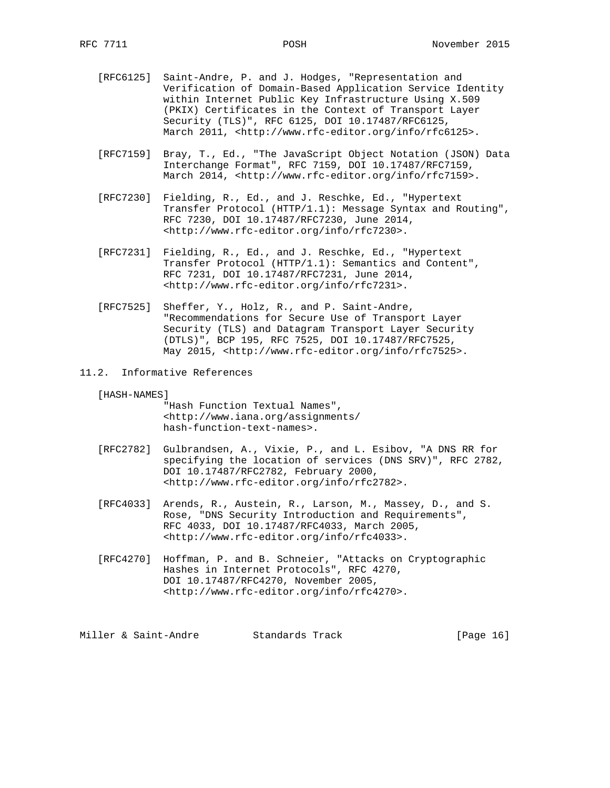- [RFC6125] Saint-Andre, P. and J. Hodges, "Representation and Verification of Domain-Based Application Service Identity within Internet Public Key Infrastructure Using X.509 (PKIX) Certificates in the Context of Transport Layer Security (TLS)", RFC 6125, DOI 10.17487/RFC6125, March 2011, <http://www.rfc-editor.org/info/rfc6125>.
- [RFC7159] Bray, T., Ed., "The JavaScript Object Notation (JSON) Data Interchange Format", RFC 7159, DOI 10.17487/RFC7159, March 2014, <http://www.rfc-editor.org/info/rfc7159>.
- [RFC7230] Fielding, R., Ed., and J. Reschke, Ed., "Hypertext Transfer Protocol (HTTP/1.1): Message Syntax and Routing", RFC 7230, DOI 10.17487/RFC7230, June 2014, <http://www.rfc-editor.org/info/rfc7230>.
- [RFC7231] Fielding, R., Ed., and J. Reschke, Ed., "Hypertext Transfer Protocol (HTTP/1.1): Semantics and Content", RFC 7231, DOI 10.17487/RFC7231, June 2014, <http://www.rfc-editor.org/info/rfc7231>.
- [RFC7525] Sheffer, Y., Holz, R., and P. Saint-Andre, "Recommendations for Secure Use of Transport Layer Security (TLS) and Datagram Transport Layer Security (DTLS)", BCP 195, RFC 7525, DOI 10.17487/RFC7525, May 2015, <http://www.rfc-editor.org/info/rfc7525>.
- 11.2. Informative References
	- [HASH-NAMES]

 "Hash Function Textual Names", <http://www.iana.org/assignments/ hash-function-text-names>.

- [RFC2782] Gulbrandsen, A., Vixie, P., and L. Esibov, "A DNS RR for specifying the location of services (DNS SRV)", RFC 2782, DOI 10.17487/RFC2782, February 2000, <http://www.rfc-editor.org/info/rfc2782>.
- [RFC4033] Arends, R., Austein, R., Larson, M., Massey, D., and S. Rose, "DNS Security Introduction and Requirements", RFC 4033, DOI 10.17487/RFC4033, March 2005, <http://www.rfc-editor.org/info/rfc4033>.
- [RFC4270] Hoffman, P. and B. Schneier, "Attacks on Cryptographic Hashes in Internet Protocols", RFC 4270, DOI 10.17487/RFC4270, November 2005, <http://www.rfc-editor.org/info/rfc4270>.

Miller & Saint-Andre Standards Track [Page 16]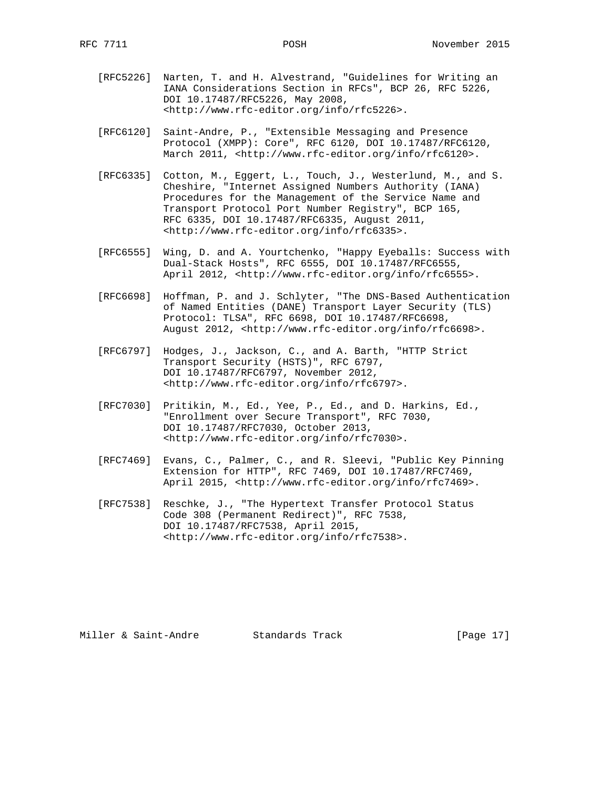- [RFC5226] Narten, T. and H. Alvestrand, "Guidelines for Writing an IANA Considerations Section in RFCs", BCP 26, RFC 5226, DOI 10.17487/RFC5226, May 2008, <http://www.rfc-editor.org/info/rfc5226>.
- [RFC6120] Saint-Andre, P., "Extensible Messaging and Presence Protocol (XMPP): Core", RFC 6120, DOI 10.17487/RFC6120, March 2011, <http://www.rfc-editor.org/info/rfc6120>.
- [RFC6335] Cotton, M., Eggert, L., Touch, J., Westerlund, M., and S. Cheshire, "Internet Assigned Numbers Authority (IANA) Procedures for the Management of the Service Name and Transport Protocol Port Number Registry", BCP 165, RFC 6335, DOI 10.17487/RFC6335, August 2011, <http://www.rfc-editor.org/info/rfc6335>.
- [RFC6555] Wing, D. and A. Yourtchenko, "Happy Eyeballs: Success with Dual-Stack Hosts", RFC 6555, DOI 10.17487/RFC6555, April 2012, <http://www.rfc-editor.org/info/rfc6555>.
	- [RFC6698] Hoffman, P. and J. Schlyter, "The DNS-Based Authentication of Named Entities (DANE) Transport Layer Security (TLS) Protocol: TLSA", RFC 6698, DOI 10.17487/RFC6698, August 2012, <http://www.rfc-editor.org/info/rfc6698>.
	- [RFC6797] Hodges, J., Jackson, C., and A. Barth, "HTTP Strict Transport Security (HSTS)", RFC 6797, DOI 10.17487/RFC6797, November 2012, <http://www.rfc-editor.org/info/rfc6797>.
	- [RFC7030] Pritikin, M., Ed., Yee, P., Ed., and D. Harkins, Ed., "Enrollment over Secure Transport", RFC 7030, DOI 10.17487/RFC7030, October 2013, <http://www.rfc-editor.org/info/rfc7030>.
	- [RFC7469] Evans, C., Palmer, C., and R. Sleevi, "Public Key Pinning Extension for HTTP", RFC 7469, DOI 10.17487/RFC7469, April 2015, <http://www.rfc-editor.org/info/rfc7469>.
	- [RFC7538] Reschke, J., "The Hypertext Transfer Protocol Status Code 308 (Permanent Redirect)", RFC 7538, DOI 10.17487/RFC7538, April 2015, <http://www.rfc-editor.org/info/rfc7538>.

Miller & Saint-Andre Standards Track [Page 17]